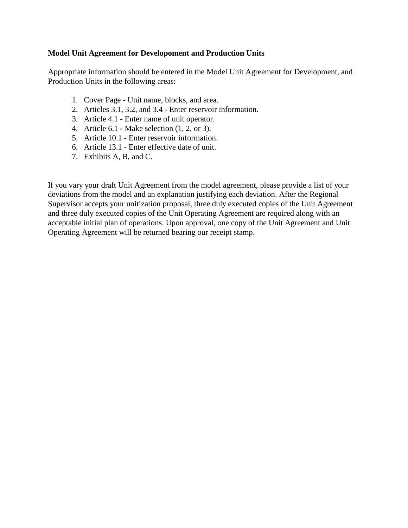# **Model Unit Agreement for Developoment and Production Units**

Appropriate information should be entered in the Model Unit Agreement for Development, and Production Units in the following areas:

- 1. Cover Page Unit name, blocks, and area.
- 2. Articles 3.1, 3.2, and 3.4 Enter reservoir information.
- 3. Article 4.1 Enter name of unit operator.
- 4. Article 6.1 Make selection (1, 2, or 3).
- 5. Article 10.1 Enter reservoir information.
- 6. Article 13.1 Enter effective date of unit.
- 7. Exhibits A, B, and C.

If you vary your draft Unit Agreement from the model agreement, please provide a list of your deviations from the model and an explanation justifying each deviation. After the Regional Supervisor accepts your unitization proposal, three duly executed copies of the Unit Agreement and three duly executed copies of the Unit Operating Agreement are required along with an acceptable initial plan of operations. Upon approval, one copy of the Unit Agreement and Unit Operating Agreement will be returned bearing our receipt stamp.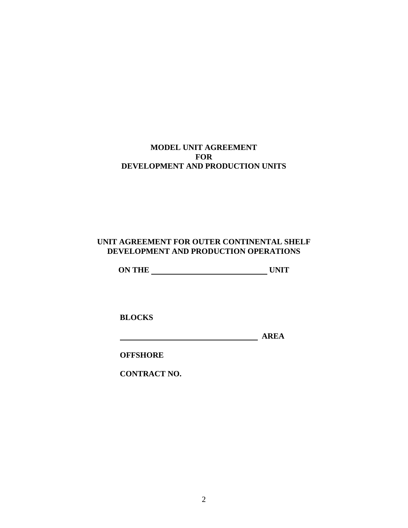# **MODEL UNIT AGREEMENT FOR DEVELOPMENT AND PRODUCTION UNITS**

# **UNIT AGREEMENT FOR OUTER CONTINENTAL SHELF DEVELOPMENT AND PRODUCTION OPERATIONS**

**ON THE UNIT**

**BLOCKS** 

*AREA* 

**OFFSHORE** 

**CONTRACT NO.**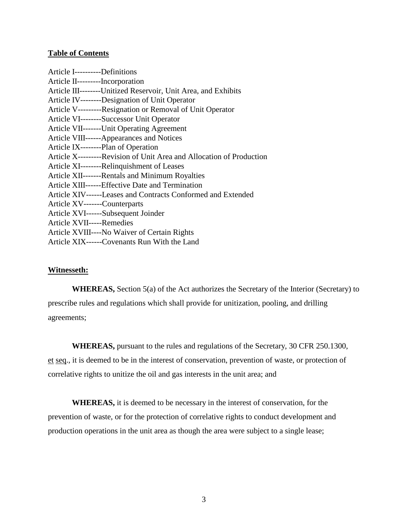## **Table of Contents**

| Article I----------Definitions                                       |
|----------------------------------------------------------------------|
| Article II----------Incorporation                                    |
| Article III---------Unitized Reservoir, Unit Area, and Exhibits      |
| Article IV--------Designation of Unit Operator                       |
| Article V---------Resignation or Removal of Unit Operator            |
| Article VI--------Successor Unit Operator                            |
| Article VII-------Unit Operating Agreement                           |
| Article VIII------Appearances and Notices                            |
| Article IX--------Plan of Operation                                  |
| Article X---------Revision of Unit Area and Allocation of Production |
| Article XI--------Relinquishment of Leases                           |
| Article XII-------Rentals and Minimum Royalties                      |
| Article XIII------Effective Date and Termination                     |
| Article XIV------Leases and Contracts Conformed and Extended         |
| Article XV-------Counterparts                                        |
| Article XVI------Subsequent Joinder                                  |
| Article XVII-----Remedies                                            |
| Article XVIII----No Waiver of Certain Rights                         |
| Article XIX------Covenants Run With the Land                         |

## **Witnesseth:**

**WHEREAS,** Section 5(a) of the Act authorizes the Secretary of the Interior (Secretary) to prescribe rules and regulations which shall provide for unitization, pooling, and drilling agreements;

**WHEREAS,** pursuant to the rules and regulations of the Secretary, 30 CFR 250.1300, et seq., it is deemed to be in the interest of conservation, prevention of waste, or protection of correlative rights to unitize the oil and gas interests in the unit area; and

**WHEREAS,** it is deemed to be necessary in the interest of conservation, for the prevention of waste, or for the protection of correlative rights to conduct development and production operations in the unit area as though the area were subject to a single lease;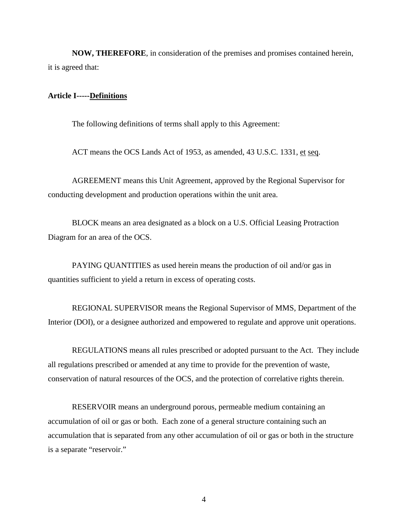**NOW, THEREFORE**, in consideration of the premises and promises contained herein, it is agreed that:

#### **Article I-----Definitions**

The following definitions of terms shall apply to this Agreement:

ACT means the OCS Lands Act of 1953, as amended, 43 U.S.C. 1331, et seq.

AGREEMENT means this Unit Agreement, approved by the Regional Supervisor for conducting development and production operations within the unit area.

BLOCK means an area designated as a block on a U.S. Official Leasing Protraction Diagram for an area of the OCS.

PAYING QUANTITIES as used herein means the production of oil and/or gas in quantities sufficient to yield a return in excess of operating costs.

REGIONAL SUPERVISOR means the Regional Supervisor of MMS, Department of the Interior (DOI), or a designee authorized and empowered to regulate and approve unit operations.

REGULATIONS means all rules prescribed or adopted pursuant to the Act. They include all regulations prescribed or amended at any time to provide for the prevention of waste, conservation of natural resources of the OCS, and the protection of correlative rights therein.

RESERVOIR means an underground porous, permeable medium containing an accumulation of oil or gas or both. Each zone of a general structure containing such an accumulation that is separated from any other accumulation of oil or gas or both in the structure is a separate "reservoir."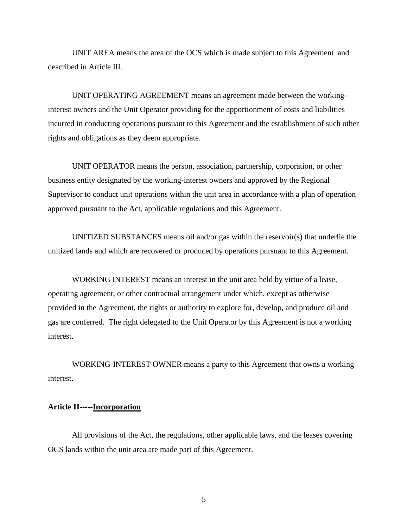UNIT AREA means the area of the OCS which is made subject to this Agreement and described in Article III.

UNIT OPERATING AGREEMENT means an agreement made between the workinginterest owners and the Unit Operator providing for the apportionment of costs and liabilities incurred in conducting operations pursuant to this Agreement and the establishment of such other rights and obligations as they deem appropriate.

UNIT OPERATOR means the person, association, partnership, corporation, or other business entity designated by the working-interest owners and approved by the Regional Supervisor to conduct unit operations within the unit area in accordance with a plan of operation approved pursuant to the Act, applicable regulations and this Agreement.

UNITIZED SUBSTANCES means oil and/or gas within the reservoir(s) that underlie the unitized lands and which are recovered or produced by operations pursuant to this Agreement.

WORKING INTEREST means an interest in the unit area held by virtue of a lease, operating agreement, or other contractual arrangement under which, except as otherwise provided in the Agreement, the rights or authority to explore for, develop, and produce oil and gas are conferred. The right delegated to the Unit Operator by this Agreement is not a working interest.

WORKING-INTEREST OWNER means a party to this Agreement that owns a working interest.

## **Article II-----Incorporation**

All provisions of the Act, the regulations, other applicable laws, and the leases covering OCS lands within the unit area are made part of this Agreement.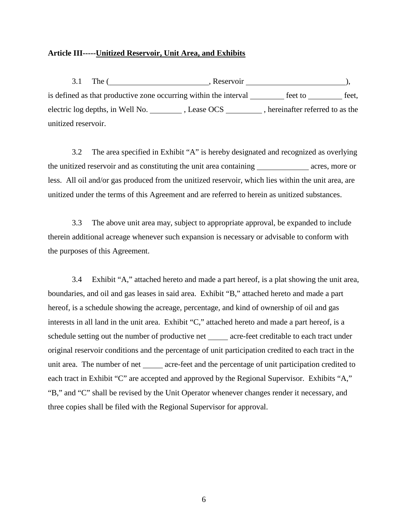## **Article III-----Unitized Reservoir, Unit Area, and Exhibits**

3.1 The (
Reservoir
), is defined as that productive zone occurring within the interval  $f$  feet to  $f$  feet, electric log depths, in Well No. \_\_\_\_\_\_\_\_\_\_, Lease OCS \_\_\_\_\_\_\_\_\_\_, hereinafter referred to as the unitized reservoir.

3.2 The area specified in Exhibit "A" is hereby designated and recognized as overlying the unitized reservoir and as constituting the unit area containing acres, more or less. All oil and/or gas produced from the unitized reservoir, which lies within the unit area, are unitized under the terms of this Agreement and are referred to herein as unitized substances.

3.3 The above unit area may, subject to appropriate approval, be expanded to include therein additional acreage whenever such expansion is necessary or advisable to conform with the purposes of this Agreement.

3.4 Exhibit "A," attached hereto and made a part hereof, is a plat showing the unit area, boundaries, and oil and gas leases in said area. Exhibit "B," attached hereto and made a part hereof, is a schedule showing the acreage, percentage, and kind of ownership of oil and gas interests in all land in the unit area. Exhibit "C," attached hereto and made a part hereof, is a schedule setting out the number of productive net acre-feet creditable to each tract under original reservoir conditions and the percentage of unit participation credited to each tract in the unit area. The number of net \_\_\_\_\_\_ acre-feet and the percentage of unit participation credited to each tract in Exhibit "C" are accepted and approved by the Regional Supervisor. Exhibits "A," "B," and "C" shall be revised by the Unit Operator whenever changes render it necessary, and three copies shall be filed with the Regional Supervisor for approval.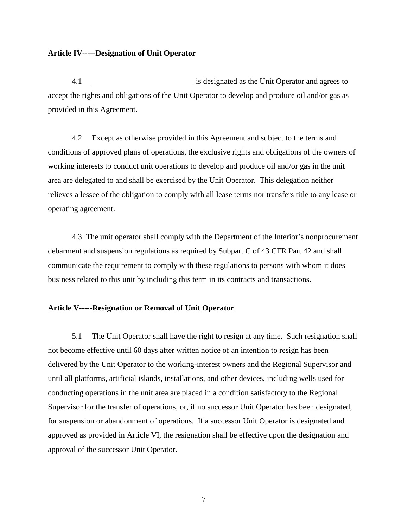## **Article IV-----Designation of Unit Operator**

4.1 is designated as the Unit Operator and agrees to accept the rights and obligations of the Unit Operator to develop and produce oil and/or gas as provided in this Agreement.

4.2 Except as otherwise provided in this Agreement and subject to the terms and conditions of approved plans of operations, the exclusive rights and obligations of the owners of working interests to conduct unit operations to develop and produce oil and/or gas in the unit area are delegated to and shall be exercised by the Unit Operator. This delegation neither relieves a lessee of the obligation to comply with all lease terms nor transfers title to any lease or operating agreement.

4.3 The unit operator shall comply with the Department of the Interior's nonprocurement debarment and suspension regulations as required by Subpart C of 43 CFR Part 42 and shall communicate the requirement to comply with these regulations to persons with whom it does business related to this unit by including this term in its contracts and transactions.

## **Article V-----Resignation or Removal of Unit Operator**

5.1 The Unit Operator shall have the right to resign at any time. Such resignation shall not become effective until 60 days after written notice of an intention to resign has been delivered by the Unit Operator to the working-interest owners and the Regional Supervisor and until all platforms, artificial islands, installations, and other devices, including wells used for conducting operations in the unit area are placed in a condition satisfactory to the Regional Supervisor for the transfer of operations, or, if no successor Unit Operator has been designated, for suspension or abandonment of operations. If a successor Unit Operator is designated and approved as provided in Article VI, the resignation shall be effective upon the designation and approval of the successor Unit Operator.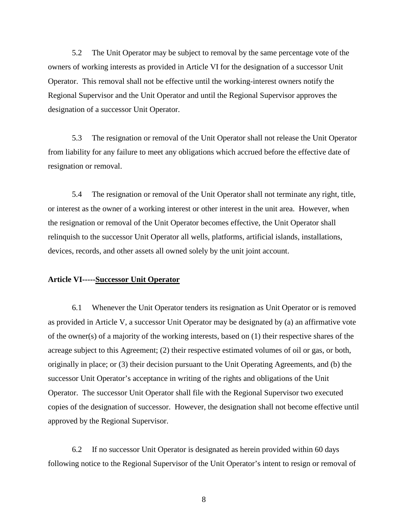5.2 The Unit Operator may be subject to removal by the same percentage vote of the owners of working interests as provided in Article VI for the designation of a successor Unit Operator. This removal shall not be effective until the working-interest owners notify the Regional Supervisor and the Unit Operator and until the Regional Supervisor approves the designation of a successor Unit Operator.

5.3 The resignation or removal of the Unit Operator shall not release the Unit Operator from liability for any failure to meet any obligations which accrued before the effective date of resignation or removal.

5.4 The resignation or removal of the Unit Operator shall not terminate any right, title, or interest as the owner of a working interest or other interest in the unit area. However, when the resignation or removal of the Unit Operator becomes effective, the Unit Operator shall relinquish to the successor Unit Operator all wells, platforms, artificial islands, installations, devices, records, and other assets all owned solely by the unit joint account.

## **Article VI-----Successor Unit Operator**

6.1 Whenever the Unit Operator tenders its resignation as Unit Operator or is removed as provided in Article V, a successor Unit Operator may be designated by (a) an affirmative vote of the owner(s) of a majority of the working interests, based on (1) their respective shares of the acreage subject to this Agreement; (2) their respective estimated volumes of oil or gas, or both, originally in place; or (3) their decision pursuant to the Unit Operating Agreements, and (b) the successor Unit Operator's acceptance in writing of the rights and obligations of the Unit Operator. The successor Unit Operator shall file with the Regional Supervisor two executed copies of the designation of successor. However, the designation shall not become effective until approved by the Regional Supervisor.

6.2 If no successor Unit Operator is designated as herein provided within 60 days following notice to the Regional Supervisor of the Unit Operator's intent to resign or removal of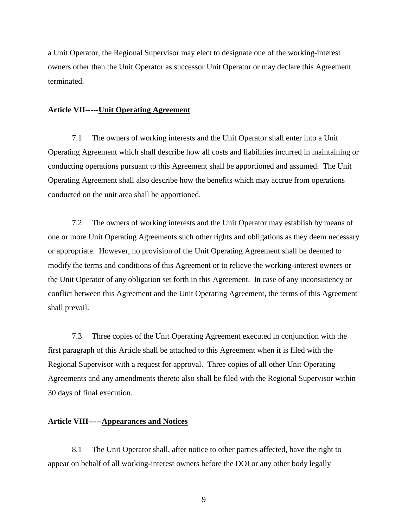a Unit Operator, the Regional Supervisor may elect to designate one of the working-interest owners other than the Unit Operator as successor Unit Operator or may declare this Agreement terminated.

## **Article VII-----Unit Operating Agreement**

7.1 The owners of working interests and the Unit Operator shall enter into a Unit Operating Agreement which shall describe how all costs and liabilities incurred in maintaining or conducting operations pursuant to this Agreement shall be apportioned and assumed. The Unit Operating Agreement shall also describe how the benefits which may accrue from operations conducted on the unit area shall be apportioned.

7.2 The owners of working interests and the Unit Operator may establish by means of one or more Unit Operating Agreements such other rights and obligations as they deem necessary or appropriate. However, no provision of the Unit Operating Agreement shall be deemed to modify the terms and conditions of this Agreement or to relieve the working-interest owners or the Unit Operator of any obligation set forth in this Agreement. In case of any inconsistency or conflict between this Agreement and the Unit Operating Agreement, the terms of this Agreement shall prevail.

7.3 Three copies of the Unit Operating Agreement executed in conjunction with the first paragraph of this Article shall be attached to this Agreement when it is filed with the Regional Supervisor with a request for approval. Three copies of all other Unit Operating Agreements and any amendments thereto also shall be filed with the Regional Supervisor within 30 days of final execution.

#### **Article VIII-----Appearances and Notices**

8.1 The Unit Operator shall, after notice to other parties affected, have the right to appear on behalf of all working-interest owners before the DOI or any other body legally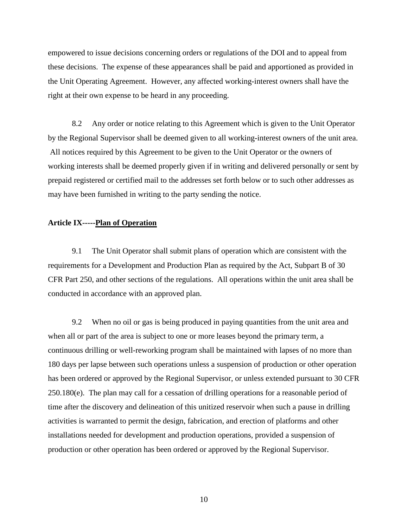empowered to issue decisions concerning orders or regulations of the DOI and to appeal from these decisions. The expense of these appearances shall be paid and apportioned as provided in the Unit Operating Agreement. However, any affected working-interest owners shall have the right at their own expense to be heard in any proceeding.

8.2 Any order or notice relating to this Agreement which is given to the Unit Operator by the Regional Supervisor shall be deemed given to all working-interest owners of the unit area. All notices required by this Agreement to be given to the Unit Operator or the owners of working interests shall be deemed properly given if in writing and delivered personally or sent by prepaid registered or certified mail to the addresses set forth below or to such other addresses as may have been furnished in writing to the party sending the notice.

## **Article IX-----Plan of Operation**

9.1 The Unit Operator shall submit plans of operation which are consistent with the requirements for a Development and Production Plan as required by the Act, Subpart B of 30 CFR Part 250, and other sections of the regulations. All operations within the unit area shall be conducted in accordance with an approved plan.

9.2 When no oil or gas is being produced in paying quantities from the unit area and when all or part of the area is subject to one or more leases beyond the primary term, a continuous drilling or well-reworking program shall be maintained with lapses of no more than 180 days per lapse between such operations unless a suspension of production or other operation has been ordered or approved by the Regional Supervisor, or unless extended pursuant to 30 CFR 250.180(e). The plan may call for a cessation of drilling operations for a reasonable period of time after the discovery and delineation of this unitized reservoir when such a pause in drilling activities is warranted to permit the design, fabrication, and erection of platforms and other installations needed for development and production operations, provided a suspension of production or other operation has been ordered or approved by the Regional Supervisor.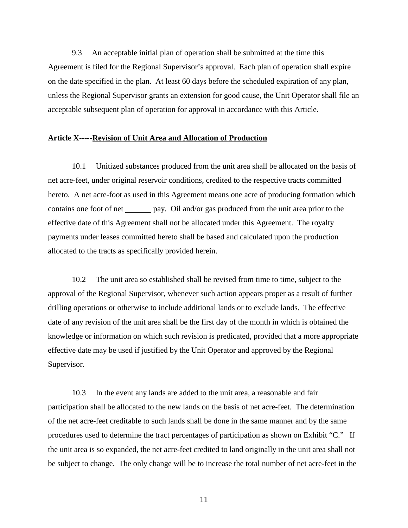9.3 An acceptable initial plan of operation shall be submitted at the time this Agreement is filed for the Regional Supervisor's approval. Each plan of operation shall expire on the date specified in the plan. At least 60 days before the scheduled expiration of any plan, unless the Regional Supervisor grants an extension for good cause, the Unit Operator shall file an acceptable subsequent plan of operation for approval in accordance with this Article.

#### **Article X-----Revision of Unit Area and Allocation of Production**

10.1 Unitized substances produced from the unit area shall be allocated on the basis of net acre-feet, under original reservoir conditions, credited to the respective tracts committed hereto. A net acre-foot as used in this Agreement means one acre of producing formation which contains one foot of net \_\_\_\_\_\_ pay. Oil and/or gas produced from the unit area prior to the effective date of this Agreement shall not be allocated under this Agreement. The royalty payments under leases committed hereto shall be based and calculated upon the production allocated to the tracts as specifically provided herein.

10.2 The unit area so established shall be revised from time to time, subject to the approval of the Regional Supervisor, whenever such action appears proper as a result of further drilling operations or otherwise to include additional lands or to exclude lands. The effective date of any revision of the unit area shall be the first day of the month in which is obtained the knowledge or information on which such revision is predicated, provided that a more appropriate effective date may be used if justified by the Unit Operator and approved by the Regional Supervisor.

10.3 In the event any lands are added to the unit area, a reasonable and fair participation shall be allocated to the new lands on the basis of net acre-feet. The determination of the net acre-feet creditable to such lands shall be done in the same manner and by the same procedures used to determine the tract percentages of participation as shown on Exhibit "C." If the unit area is so expanded, the net acre-feet credited to land originally in the unit area shall not be subject to change. The only change will be to increase the total number of net acre-feet in the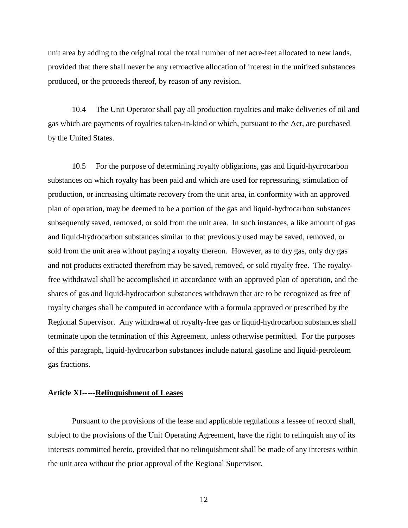unit area by adding to the original total the total number of net acre-feet allocated to new lands, provided that there shall never be any retroactive allocation of interest in the unitized substances produced, or the proceeds thereof, by reason of any revision.

10.4 The Unit Operator shall pay all production royalties and make deliveries of oil and gas which are payments of royalties taken-in-kind or which, pursuant to the Act, are purchased by the United States.

10.5 For the purpose of determining royalty obligations, gas and liquid-hydrocarbon substances on which royalty has been paid and which are used for repressuring, stimulation of production, or increasing ultimate recovery from the unit area, in conformity with an approved plan of operation, may be deemed to be a portion of the gas and liquid-hydrocarbon substances subsequently saved, removed, or sold from the unit area. In such instances, a like amount of gas and liquid-hydrocarbon substances similar to that previously used may be saved, removed, or sold from the unit area without paying a royalty thereon. However, as to dry gas, only dry gas and not products extracted therefrom may be saved, removed, or sold royalty free. The royaltyfree withdrawal shall be accomplished in accordance with an approved plan of operation, and the shares of gas and liquid-hydrocarbon substances withdrawn that are to be recognized as free of royalty charges shall be computed in accordance with a formula approved or prescribed by the Regional Supervisor. Any withdrawal of royalty-free gas or liquid-hydrocarbon substances shall terminate upon the termination of this Agreement, unless otherwise permitted. For the purposes of this paragraph, liquid-hydrocarbon substances include natural gasoline and liquid-petroleum gas fractions.

#### **Article XI-----Relinquishment of Leases**

Pursuant to the provisions of the lease and applicable regulations a lessee of record shall, subject to the provisions of the Unit Operating Agreement, have the right to relinquish any of its interests committed hereto, provided that no relinquishment shall be made of any interests within the unit area without the prior approval of the Regional Supervisor.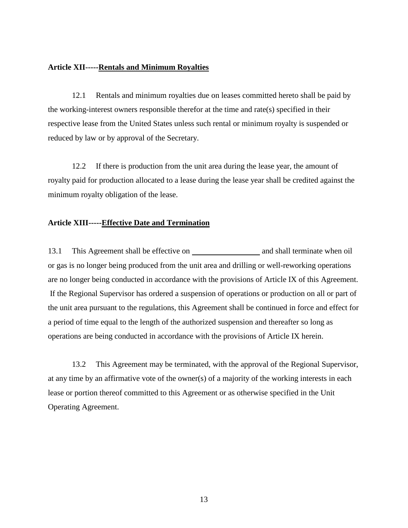## **Article XII-----Rentals and Minimum Royalties**

12.1 Rentals and minimum royalties due on leases committed hereto shall be paid by the working-interest owners responsible therefor at the time and rate(s) specified in their respective lease from the United States unless such rental or minimum royalty is suspended or reduced by law or by approval of the Secretary.

12.2 If there is production from the unit area during the lease year, the amount of royalty paid for production allocated to a lease during the lease year shall be credited against the minimum royalty obligation of the lease.

## **Article XIII-----Effective Date and Termination**

13.1 This Agreement shall be effective on and shall terminate when oil or gas is no longer being produced from the unit area and drilling or well-reworking operations are no longer being conducted in accordance with the provisions of Article IX of this Agreement. If the Regional Supervisor has ordered a suspension of operations or production on all or part of the unit area pursuant to the regulations, this Agreement shall be continued in force and effect for a period of time equal to the length of the authorized suspension and thereafter so long as operations are being conducted in accordance with the provisions of Article IX herein.

13.2 This Agreement may be terminated, with the approval of the Regional Supervisor, at any time by an affirmative vote of the owner(s) of a majority of the working interests in each lease or portion thereof committed to this Agreement or as otherwise specified in the Unit Operating Agreement.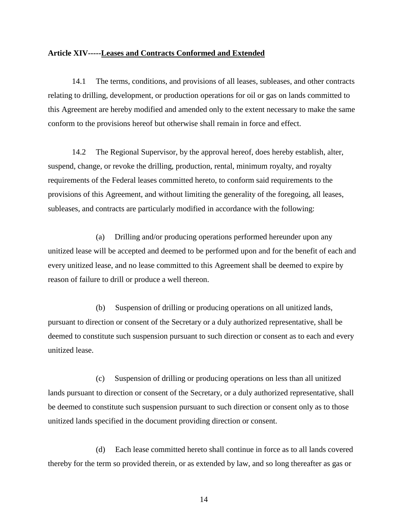#### **Article XIV-----Leases and Contracts Conformed and Extended**

14.1 The terms, conditions, and provisions of all leases, subleases, and other contracts relating to drilling, development, or production operations for oil or gas on lands committed to this Agreement are hereby modified and amended only to the extent necessary to make the same conform to the provisions hereof but otherwise shall remain in force and effect.

14.2 The Regional Supervisor, by the approval hereof, does hereby establish, alter, suspend, change, or revoke the drilling, production, rental, minimum royalty, and royalty requirements of the Federal leases committed hereto, to conform said requirements to the provisions of this Agreement, and without limiting the generality of the foregoing, all leases, subleases, and contracts are particularly modified in accordance with the following:

(a) Drilling and/or producing operations performed hereunder upon any unitized lease will be accepted and deemed to be performed upon and for the benefit of each and every unitized lease, and no lease committed to this Agreement shall be deemed to expire by reason of failure to drill or produce a well thereon.

(b) Suspension of drilling or producing operations on all unitized lands, pursuant to direction or consent of the Secretary or a duly authorized representative, shall be deemed to constitute such suspension pursuant to such direction or consent as to each and every unitized lease.

(c) Suspension of drilling or producing operations on less than all unitized lands pursuant to direction or consent of the Secretary, or a duly authorized representative, shall be deemed to constitute such suspension pursuant to such direction or consent only as to those unitized lands specified in the document providing direction or consent.

(d) Each lease committed hereto shall continue in force as to all lands covered thereby for the term so provided therein, or as extended by law, and so long thereafter as gas or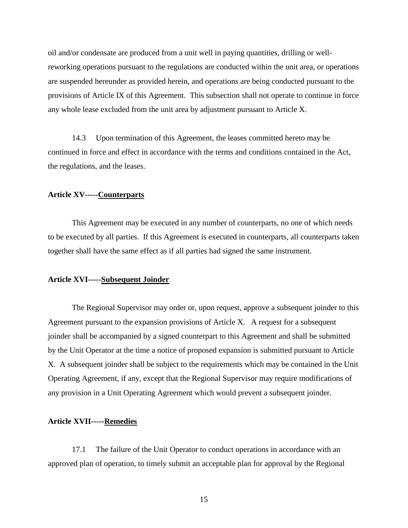oil and/or condensate are produced from a unit well in paying quantities, drilling or wellreworking operations pursuant to the regulations are conducted within the unit area, or operations are suspended hereunder as provided herein, and operations are being conducted pursuant to the provisions of Article IX of this Agreement. This subsection shall not operate to continue in force any whole lease excluded from the unit area by adjustment pursuant to Article X.

14.3 Upon termination of this Agreement, the leases committed hereto may be continued in force and effect in accordance with the terms and conditions contained in the Act, the regulations, and the leases.

#### **Article XV-----Counterparts**

This Agreement may be executed in any number of counterparts, no one of which needs to be executed by all parties. If this Agreement is executed in counterparts, all counterparts taken together shall have the same effect as if all parties had signed the same instrument.

# **Article XVI-----Subsequent Joinder**

The Regional Supervisor may order or, upon request, approve a subsequent joinder to this Agreement pursuant to the expansion provisions of Article X. A request for a subsequent joinder shall be accompanied by a signed counterpart to this Agreement and shall be submitted by the Unit Operator at the time a notice of proposed expansion is submitted pursuant to Article X. A subsequent joinder shall be subject to the requirements which may be contained in the Unit Operating Agreement, if any, except that the Regional Supervisor may require modifications of any provision in a Unit Operating Agreement which would prevent a subsequent joinder.

#### **Article XVII-----Remedies**

17.1 The failure of the Unit Operator to conduct operations in accordance with an approved plan of operation, to timely submit an acceptable plan for approval by the Regional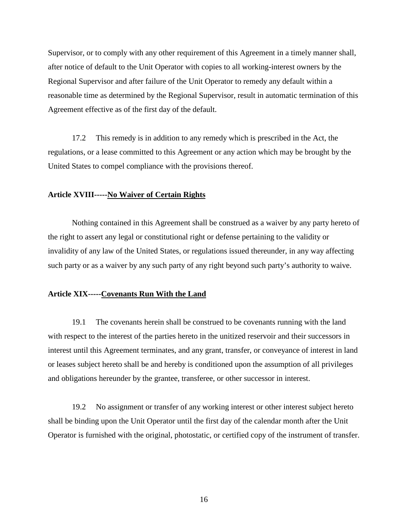Supervisor, or to comply with any other requirement of this Agreement in a timely manner shall, after notice of default to the Unit Operator with copies to all working-interest owners by the Regional Supervisor and after failure of the Unit Operator to remedy any default within a reasonable time as determined by the Regional Supervisor, result in automatic termination of this Agreement effective as of the first day of the default.

17.2 This remedy is in addition to any remedy which is prescribed in the Act, the regulations, or a lease committed to this Agreement or any action which may be brought by the United States to compel compliance with the provisions thereof.

#### **Article XVIII-----No Waiver of Certain Rights**

Nothing contained in this Agreement shall be construed as a waiver by any party hereto of the right to assert any legal or constitutional right or defense pertaining to the validity or invalidity of any law of the United States, or regulations issued thereunder, in any way affecting such party or as a waiver by any such party of any right beyond such party's authority to waive.

## **Article XIX-----Covenants Run With the Land**

19.1 The covenants herein shall be construed to be covenants running with the land with respect to the interest of the parties hereto in the unitized reservoir and their successors in interest until this Agreement terminates, and any grant, transfer, or conveyance of interest in land or leases subject hereto shall be and hereby is conditioned upon the assumption of all privileges and obligations hereunder by the grantee, transferee, or other successor in interest.

19.2 No assignment or transfer of any working interest or other interest subject hereto shall be binding upon the Unit Operator until the first day of the calendar month after the Unit Operator is furnished with the original, photostatic, or certified copy of the instrument of transfer.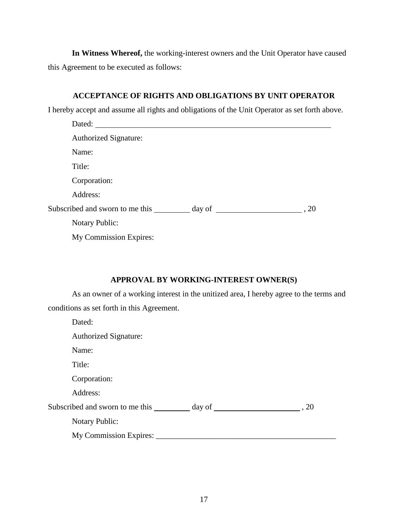**In Witness Whereof,** the working-interest owners and the Unit Operator have caused this Agreement to be executed as follows:

# **ACCEPTANCE OF RIGHTS AND OBLIGATIONS BY UNIT OPERATOR**

I hereby accept and assume all rights and obligations of the Unit Operator as set forth above.

| Dated:                          |                        |  |
|---------------------------------|------------------------|--|
| <b>Authorized Signature:</b>    |                        |  |
| Name:                           |                        |  |
| Title:                          |                        |  |
| Corporation:                    |                        |  |
| Address:                        |                        |  |
| Subscribed and sworn to me this | $\frac{day}{100}$ , 20 |  |
| <b>Notary Public:</b>           |                        |  |
| My Commission Expires:          |                        |  |

# **APPROVAL BY WORKING-INTEREST OWNER(S)**

As an owner of a working interest in the unitized area, I hereby agree to the terms and conditions as set forth in this Agreement.

| Dated:                       |  |
|------------------------------|--|
| <b>Authorized Signature:</b> |  |
| Name:                        |  |
| Title:                       |  |
| Corporation:                 |  |
| Address:                     |  |
|                              |  |
| <b>Notary Public:</b>        |  |
| My Commission Expires: ____  |  |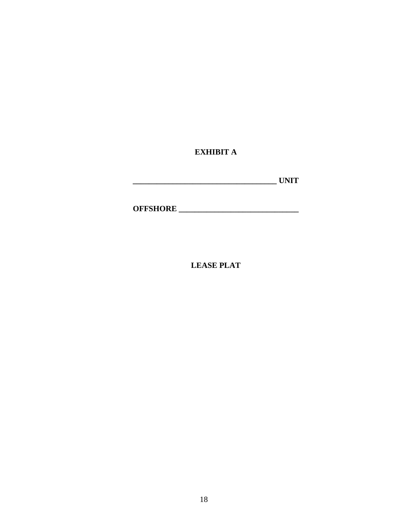**EXHIBIT A**

| <b>TIMITT</b><br>$-1$ |
|-----------------------|
|-----------------------|

**OFFSHORE \_\_\_\_\_\_\_\_\_\_\_\_\_\_\_\_\_\_\_\_\_\_\_\_\_\_\_\_\_\_**

**LEASE PLAT**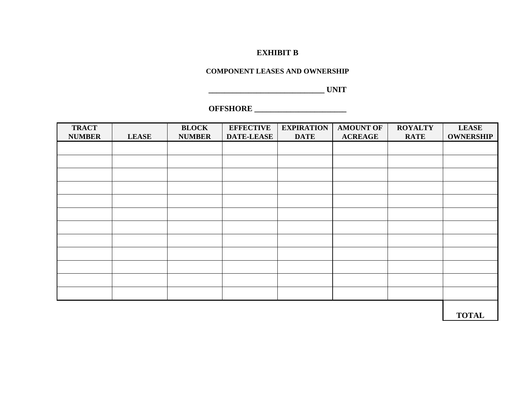## **EXHIBIT B**

## **COMPONENT LEASES AND OWNERSHIP**

**\_\_\_\_\_\_\_\_\_\_\_\_\_\_\_\_\_\_\_\_\_\_\_\_\_\_\_\_\_ UNIT**

# **OFFSHORE \_\_\_\_\_\_\_\_\_\_\_\_\_\_\_\_\_\_\_\_\_\_\_**

| <b>TRACT</b><br><b>NUMBER</b> | <b>LEASE</b> | <b>BLOCK</b><br><b>NUMBER</b> | <b>EFFECTIVE</b><br><b>DATE-LEASE</b> | <b>EXPIRATION</b><br><b>DATE</b> | <b>AMOUNT OF</b><br><b>ACREAGE</b> | <b>ROYALTY</b><br><b>RATE</b> | <b>LEASE</b><br><b>OWNERSHIP</b> |
|-------------------------------|--------------|-------------------------------|---------------------------------------|----------------------------------|------------------------------------|-------------------------------|----------------------------------|
|                               |              |                               |                                       |                                  |                                    |                               |                                  |
|                               |              |                               |                                       |                                  |                                    |                               |                                  |
|                               |              |                               |                                       |                                  |                                    |                               |                                  |
|                               |              |                               |                                       |                                  |                                    |                               |                                  |
|                               |              |                               |                                       |                                  |                                    |                               |                                  |
|                               |              |                               |                                       |                                  |                                    |                               |                                  |
|                               |              |                               |                                       |                                  |                                    |                               |                                  |
|                               |              |                               |                                       |                                  |                                    |                               |                                  |
|                               |              |                               |                                       |                                  |                                    |                               |                                  |
|                               |              |                               |                                       |                                  |                                    |                               |                                  |
|                               |              |                               |                                       |                                  |                                    |                               |                                  |
|                               |              |                               |                                       |                                  |                                    |                               |                                  |
|                               |              |                               |                                       |                                  |                                    |                               |                                  |

**TOTAL**